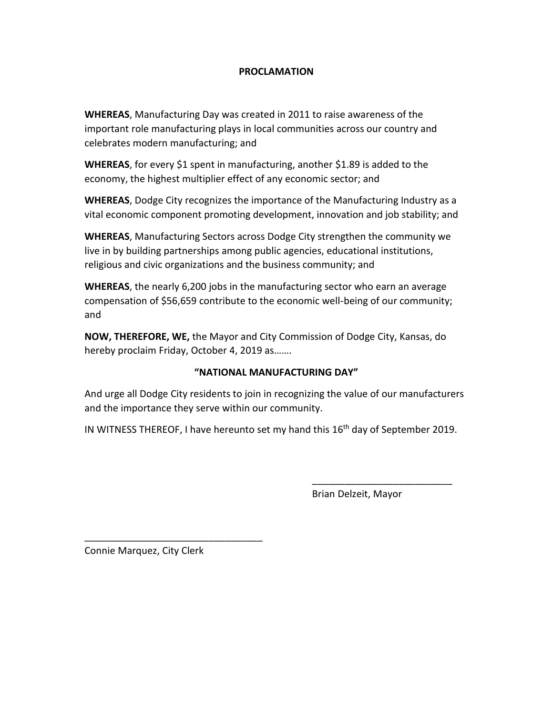## **PROCLAMATION**

**WHEREAS**, Manufacturing Day was created in 2011 to raise awareness of the important role manufacturing plays in local communities across our country and celebrates modern manufacturing; and

**WHEREAS**, for every \$1 spent in manufacturing, another \$1.89 is added to the economy, the highest multiplier effect of any economic sector; and

**WHEREAS**, Dodge City recognizes the importance of the Manufacturing Industry as a vital economic component promoting development, innovation and job stability; and

**WHEREAS**, Manufacturing Sectors across Dodge City strengthen the community we live in by building partnerships among public agencies, educational institutions, religious and civic organizations and the business community; and

**WHEREAS**, the nearly 6,200 jobs in the manufacturing sector who earn an average compensation of \$56,659 contribute to the economic well-being of our community; and

**NOW, THEREFORE, WE,** the Mayor and City Commission of Dodge City, Kansas, do hereby proclaim Friday, October 4, 2019 as…….

# **"NATIONAL MANUFACTURING DAY"**

And urge all Dodge City residents to join in recognizing the value of our manufacturers and the importance they serve within our community.

IN WITNESS THEREOF, I have hereunto set my hand this  $16<sup>th</sup>$  day of September 2019.

Brian Delzeit, Mayor

\_\_\_\_\_\_\_\_\_\_\_\_\_\_\_\_\_\_\_\_\_\_\_\_\_\_

Connie Marquez, City Clerk

\_\_\_\_\_\_\_\_\_\_\_\_\_\_\_\_\_\_\_\_\_\_\_\_\_\_\_\_\_\_\_\_\_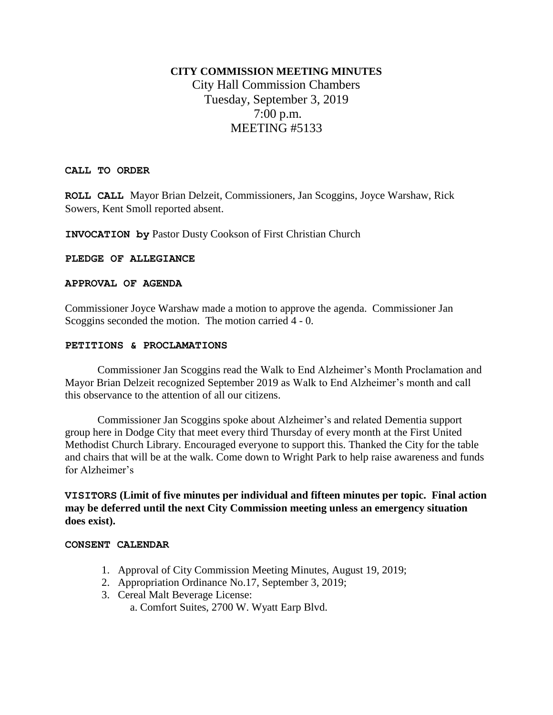# **CITY COMMISSION MEETING MINUTES** City Hall Commission Chambers Tuesday, September 3, 2019 7:00 p.m. MEETING #5133

#### **CALL TO ORDER**

**ROLL CALL** Mayor Brian Delzeit, Commissioners, Jan Scoggins, Joyce Warshaw, Rick Sowers, Kent Smoll reported absent.

**INVOCATION by** Pastor Dusty Cookson of First Christian Church

#### **PLEDGE OF ALLEGIANCE**

#### **APPROVAL OF AGENDA**

Commissioner Joyce Warshaw made a motion to approve the agenda. Commissioner Jan Scoggins seconded the motion. The motion carried 4 - 0.

#### **PETITIONS & PROCLAMATIONS**

Commissioner Jan Scoggins read the Walk to End Alzheimer's Month Proclamation and Mayor Brian Delzeit recognized September 2019 as Walk to End Alzheimer's month and call this observance to the attention of all our citizens.

Commissioner Jan Scoggins spoke about Alzheimer's and related Dementia support group here in Dodge City that meet every third Thursday of every month at the First United Methodist Church Library. Encouraged everyone to support this. Thanked the City for the table and chairs that will be at the walk. Come down to Wright Park to help raise awareness and funds for Alzheimer's

**VISITORS (Limit of five minutes per individual and fifteen minutes per topic. Final action may be deferred until the next City Commission meeting unless an emergency situation does exist).**

#### **CONSENT CALENDAR**

- 1. Approval of City Commission Meeting Minutes, August 19, 2019;
- 2. Appropriation Ordinance No.17, September 3, 2019;
- 3. Cereal Malt Beverage License:
	- a. Comfort Suites, 2700 W. Wyatt Earp Blvd.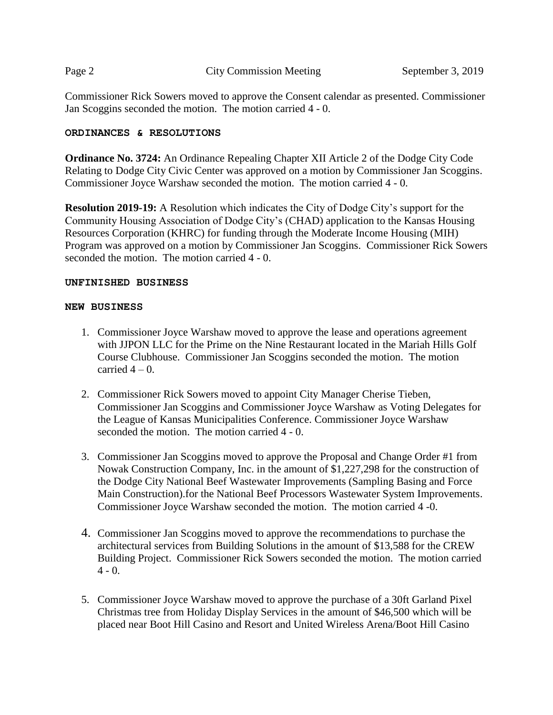Commissioner Rick Sowers moved to approve the Consent calendar as presented. Commissioner Jan Scoggins seconded the motion. The motion carried 4 - 0.

#### **ORDINANCES & RESOLUTIONS**

**Ordinance No. 3724:** An Ordinance Repealing Chapter XII Article 2 of the Dodge City Code Relating to Dodge City Civic Center was approved on a motion by Commissioner Jan Scoggins. Commissioner Joyce Warshaw seconded the motion. The motion carried 4 - 0.

**Resolution 2019-19:** A Resolution which indicates the City of Dodge City's support for the Community Housing Association of Dodge City's (CHAD) application to the Kansas Housing Resources Corporation (KHRC) for funding through the Moderate Income Housing (MIH) Program was approved on a motion by Commissioner Jan Scoggins. Commissioner Rick Sowers seconded the motion. The motion carried 4 - 0.

#### **UNFINISHED BUSINESS**

#### **NEW BUSINESS**

- 1. Commissioner Joyce Warshaw moved to approve the lease and operations agreement with JJPON LLC for the Prime on the Nine Restaurant located in the Mariah Hills Golf Course Clubhouse. Commissioner Jan Scoggins seconded the motion. The motion carried  $4-0$ .
- 2. Commissioner Rick Sowers moved to appoint City Manager Cherise Tieben, Commissioner Jan Scoggins and Commissioner Joyce Warshaw as Voting Delegates for the League of Kansas Municipalities Conference. Commissioner Joyce Warshaw seconded the motion. The motion carried 4 - 0.
- 3. Commissioner Jan Scoggins moved to approve the Proposal and Change Order #1 from Nowak Construction Company, Inc. in the amount of \$1,227,298 for the construction of the Dodge City National Beef Wastewater Improvements (Sampling Basing and Force Main Construction).for the National Beef Processors Wastewater System Improvements. Commissioner Joyce Warshaw seconded the motion. The motion carried 4 -0.
- 4. Commissioner Jan Scoggins moved to approve the recommendations to purchase the architectural services from Building Solutions in the amount of \$13,588 for the CREW Building Project. Commissioner Rick Sowers seconded the motion. The motion carried  $4 - 0.$
- 5. Commissioner Joyce Warshaw moved to approve the purchase of a 30ft Garland Pixel Christmas tree from Holiday Display Services in the amount of \$46,500 which will be placed near Boot Hill Casino and Resort and United Wireless Arena/Boot Hill Casino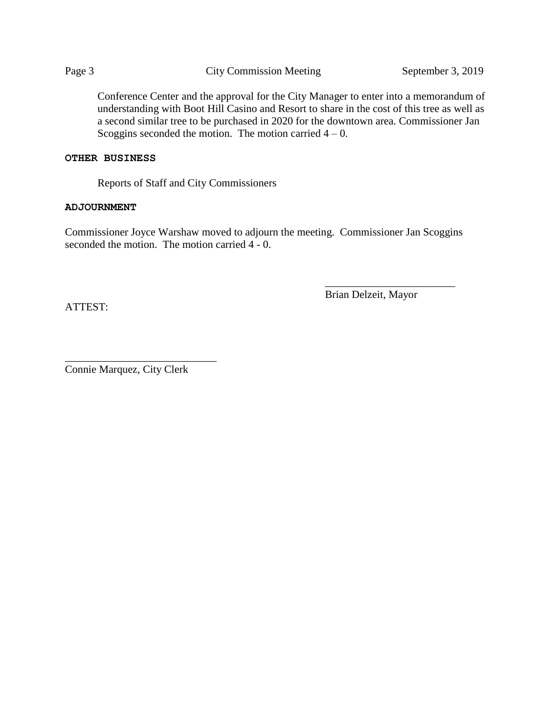Conference Center and the approval for the City Manager to enter into a memorandum of understanding with Boot Hill Casino and Resort to share in the cost of this tree as well as a second similar tree to be purchased in 2020 for the downtown area. Commissioner Jan Scoggins seconded the motion. The motion carried  $4 - 0$ .

#### **OTHER BUSINESS**

Reports of Staff and City Commissioners

#### **ADJOURNMENT**

Commissioner Joyce Warshaw moved to adjourn the meeting. Commissioner Jan Scoggins seconded the motion. The motion carried 4 - 0.

Brian Delzeit, Mayor

\_\_\_\_\_\_\_\_\_\_\_\_\_\_\_\_\_\_\_\_\_\_\_\_

ATTEST:

\_\_\_\_\_\_\_\_\_\_\_\_\_\_\_\_\_\_\_\_\_\_\_\_\_\_\_\_ Connie Marquez, City Clerk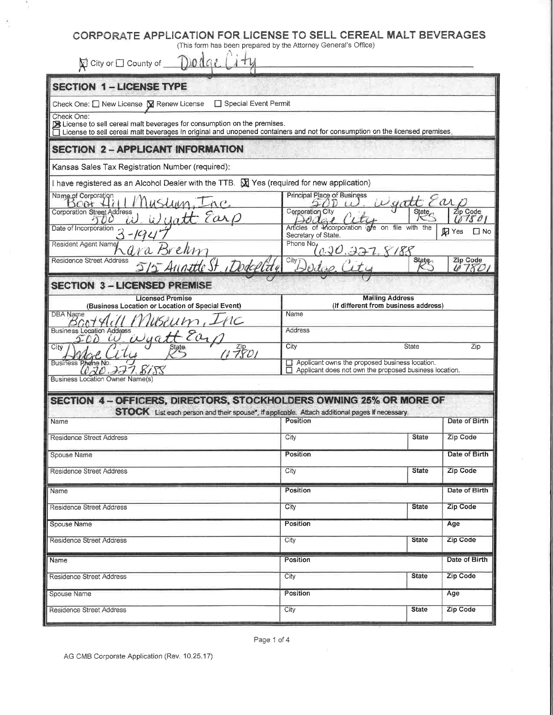| (This form has been prepared by the Attorney General's Office)            |                                                                                                                                                                                                                                                       |                                                                                                                                                                                                                                                                                                                                                                                                                                                                                                                                                                                                                                                                  |
|---------------------------------------------------------------------------|-------------------------------------------------------------------------------------------------------------------------------------------------------------------------------------------------------------------------------------------------------|------------------------------------------------------------------------------------------------------------------------------------------------------------------------------------------------------------------------------------------------------------------------------------------------------------------------------------------------------------------------------------------------------------------------------------------------------------------------------------------------------------------------------------------------------------------------------------------------------------------------------------------------------------------|
|                                                                           |                                                                                                                                                                                                                                                       |                                                                                                                                                                                                                                                                                                                                                                                                                                                                                                                                                                                                                                                                  |
|                                                                           |                                                                                                                                                                                                                                                       |                                                                                                                                                                                                                                                                                                                                                                                                                                                                                                                                                                                                                                                                  |
| □ Special Event Permit                                                    |                                                                                                                                                                                                                                                       |                                                                                                                                                                                                                                                                                                                                                                                                                                                                                                                                                                                                                                                                  |
| Ex License to sell cereal malt beverages for consumption on the premises. |                                                                                                                                                                                                                                                       |                                                                                                                                                                                                                                                                                                                                                                                                                                                                                                                                                                                                                                                                  |
|                                                                           |                                                                                                                                                                                                                                                       |                                                                                                                                                                                                                                                                                                                                                                                                                                                                                                                                                                                                                                                                  |
|                                                                           |                                                                                                                                                                                                                                                       |                                                                                                                                                                                                                                                                                                                                                                                                                                                                                                                                                                                                                                                                  |
|                                                                           |                                                                                                                                                                                                                                                       |                                                                                                                                                                                                                                                                                                                                                                                                                                                                                                                                                                                                                                                                  |
|                                                                           |                                                                                                                                                                                                                                                       |                                                                                                                                                                                                                                                                                                                                                                                                                                                                                                                                                                                                                                                                  |
|                                                                           |                                                                                                                                                                                                                                                       | Zip Code                                                                                                                                                                                                                                                                                                                                                                                                                                                                                                                                                                                                                                                         |
|                                                                           |                                                                                                                                                                                                                                                       | (5750)                                                                                                                                                                                                                                                                                                                                                                                                                                                                                                                                                                                                                                                           |
| Secretary of State.                                                       |                                                                                                                                                                                                                                                       | <b>D</b> Yes<br>$\Box$ No                                                                                                                                                                                                                                                                                                                                                                                                                                                                                                                                                                                                                                        |
|                                                                           |                                                                                                                                                                                                                                                       | Zip Code                                                                                                                                                                                                                                                                                                                                                                                                                                                                                                                                                                                                                                                         |
|                                                                           |                                                                                                                                                                                                                                                       | 6780                                                                                                                                                                                                                                                                                                                                                                                                                                                                                                                                                                                                                                                             |
|                                                                           |                                                                                                                                                                                                                                                       |                                                                                                                                                                                                                                                                                                                                                                                                                                                                                                                                                                                                                                                                  |
|                                                                           |                                                                                                                                                                                                                                                       |                                                                                                                                                                                                                                                                                                                                                                                                                                                                                                                                                                                                                                                                  |
|                                                                           |                                                                                                                                                                                                                                                       |                                                                                                                                                                                                                                                                                                                                                                                                                                                                                                                                                                                                                                                                  |
|                                                                           |                                                                                                                                                                                                                                                       |                                                                                                                                                                                                                                                                                                                                                                                                                                                                                                                                                                                                                                                                  |
|                                                                           |                                                                                                                                                                                                                                                       | Zip                                                                                                                                                                                                                                                                                                                                                                                                                                                                                                                                                                                                                                                              |
|                                                                           |                                                                                                                                                                                                                                                       |                                                                                                                                                                                                                                                                                                                                                                                                                                                                                                                                                                                                                                                                  |
|                                                                           |                                                                                                                                                                                                                                                       |                                                                                                                                                                                                                                                                                                                                                                                                                                                                                                                                                                                                                                                                  |
|                                                                           |                                                                                                                                                                                                                                                       |                                                                                                                                                                                                                                                                                                                                                                                                                                                                                                                                                                                                                                                                  |
| Position                                                                  |                                                                                                                                                                                                                                                       | Date of Birth                                                                                                                                                                                                                                                                                                                                                                                                                                                                                                                                                                                                                                                    |
| City                                                                      | <b>State</b>                                                                                                                                                                                                                                          | Zip Code                                                                                                                                                                                                                                                                                                                                                                                                                                                                                                                                                                                                                                                         |
| Position                                                                  |                                                                                                                                                                                                                                                       | Date of Birth                                                                                                                                                                                                                                                                                                                                                                                                                                                                                                                                                                                                                                                    |
| City                                                                      | <b>State</b>                                                                                                                                                                                                                                          | Zip Code                                                                                                                                                                                                                                                                                                                                                                                                                                                                                                                                                                                                                                                         |
| Position                                                                  |                                                                                                                                                                                                                                                       | Date of Birth                                                                                                                                                                                                                                                                                                                                                                                                                                                                                                                                                                                                                                                    |
| City                                                                      | <b>State</b>                                                                                                                                                                                                                                          | Zip Code                                                                                                                                                                                                                                                                                                                                                                                                                                                                                                                                                                                                                                                         |
| Position                                                                  |                                                                                                                                                                                                                                                       | Age                                                                                                                                                                                                                                                                                                                                                                                                                                                                                                                                                                                                                                                              |
| City                                                                      | <b>State</b>                                                                                                                                                                                                                                          | Zip Code                                                                                                                                                                                                                                                                                                                                                                                                                                                                                                                                                                                                                                                         |
| Position                                                                  |                                                                                                                                                                                                                                                       | Date of Birth                                                                                                                                                                                                                                                                                                                                                                                                                                                                                                                                                                                                                                                    |
| City                                                                      | <b>State</b>                                                                                                                                                                                                                                          | Zip Code                                                                                                                                                                                                                                                                                                                                                                                                                                                                                                                                                                                                                                                         |
| Position                                                                  |                                                                                                                                                                                                                                                       | Age                                                                                                                                                                                                                                                                                                                                                                                                                                                                                                                                                                                                                                                              |
| City                                                                      | <b>State</b>                                                                                                                                                                                                                                          | Zip Code                                                                                                                                                                                                                                                                                                                                                                                                                                                                                                                                                                                                                                                         |
|                                                                           | I have registered as an Alcohol Dealer with the TTB. $\boxtimes$ Yes (required for new application)<br>Principal Place of Business<br>Corporation City<br>Phone No.<br>City Dodge City<br>515 Auguste St. Dodellate<br>Name<br><b>Address</b><br>City | CORPORATE APPLICATION FOR LICENSE TO SELL CEREAL MALT BEVERAGES<br>License to sell cereal malt beverages in original and unopened containers and not for consumption on the licensed premises,<br>State<br>Articles of Incorporation are on file with the<br>020.327,8188<br><b>State</b><br><b>Mailing Address</b><br>(If different from business address)<br>State<br>Applicant owns the proposed business location.<br>$\Box$ Applicant does not own the proposed business location.<br>SECTION 4 - OFFICERS, DIRECTORS, STOCKHOLDERS OWNING 25% OR MORE OF<br>STOCK List each person and their spouse", if applicable. Attach additional pages If necessary. |

Y

Ġ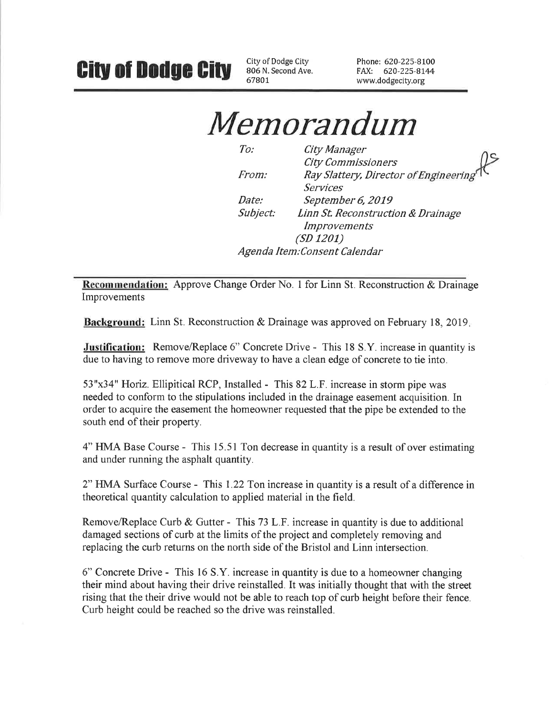City of Dodge City 806 N. Second Ave. 67801

Phone: 620-225-8100 FAX: 620-225-8144 www.dodgecity.org

Memorandum

 $To:$ City Manager **City Commissioners** Ray Slattery, Director of Engineering From: **Services** Date: September 6, 2019 Subject: Linn St. Reconstruction & Drainage *Improvements*  $(SD 1201)$ Agenda Item: Consent Calendar

Recommendation: Approve Change Order No. 1 for Linn St. Reconstruction & Drainage Improvements

**Background:** Linn St. Reconstruction & Drainage was approved on February 18, 2019.

**Justification:** Remove/Replace 6" Concrete Drive - This 18 S.Y. increase in quantity is due to having to remove more driveway to have a clean edge of concrete to tie into.

53"x34" Horiz. Ellipitical RCP, Installed - This 82 L.F. increase in storm pipe was needed to conform to the stipulations included in the drainage easement acquisition. In order to acquire the easement the homeowner requested that the pipe be extended to the south end of their property.

4" HMA Base Course - This 15.51 Ton decrease in quantity is a result of over estimating and under running the asphalt quantity.

2" HMA Surface Course - This 1.22 Ton increase in quantity is a result of a difference in theoretical quantity calculation to applied material in the field.

Remove/Replace Curb & Gutter - This 73 L.F. increase in quantity is due to additional damaged sections of curb at the limits of the project and completely removing and replacing the curb returns on the north side of the Bristol and Linn intersection.

6" Concrete Drive - This 16 S.Y. increase in quantity is due to a homeowner changing their mind about having their drive reinstalled. It was initially thought that with the street rising that the their drive would not be able to reach top of curb height before their fence. Curb height could be reached so the drive was reinstalled.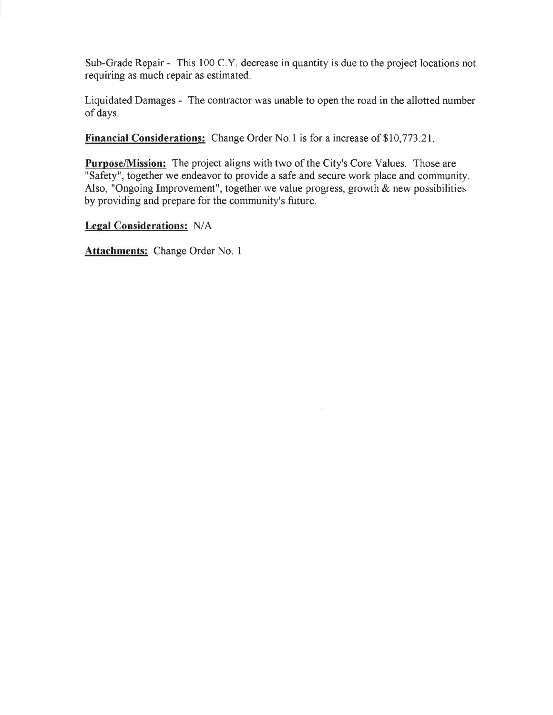Sub-Grade Repair - This 100 C.Y. decrease in quantity is due to the project locations not requiring as much repair as estimated.

Liquidated Damages - The contractor was unable to open the road in the allotted number of days.

**Financial Considerations:** Change Order No.1 is for a increase of \$10,773.21.

**Purpose/Mission:** The project aligns with two of the City's Core Values. Those are "Safety", together we endeavor to provide a safe and secure work place and community. Also, "Ongoing Improvement", together we value progress, growth  $\&$  new possibilities by providing and prepare for the community's future.

**Legal Considerations: N/A** 

Attachments: Change Order No. 1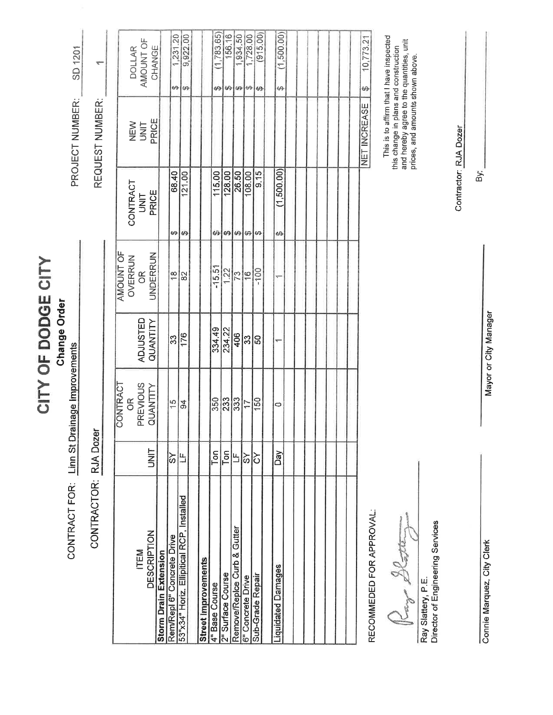CITY OF DODGE CITY **Change Order** 

CONTRACT FOR: Linn St Drainage Improvements

CONTRACTOR: RJA Dozer

SD 1201 PROJECT NUMBER:

REQUEST NUMBER:

 $\leftarrow$ 

|                                           |             | CONTRACT                   |                 | AMOUNT OF     |                           |                     |                               |
|-------------------------------------------|-------------|----------------------------|-----------------|---------------|---------------------------|---------------------|-------------------------------|
|                                           |             |                            |                 |               |                           |                     | <b>DOLLAR</b>                 |
| <b>ITEM</b>                               |             |                            | <b>ADJUSTED</b> | OVERRUN<br>OR |                           | <b>NEW</b><br>UNIT  |                               |
| <b>DESCRIPTION</b>                        | <b>UNIT</b> | OR<br>PREVIOUS<br>QUANTITY | QUANTITY        | UNDERRUN      | CONTRACT<br>UNIT<br>PRICE | PRICE               | AMOUNT OF                     |
| <b>Storm Drain Extension</b>              |             |                            |                 |               |                           |                     |                               |
| Rem/Repl 6" Concrete Drive                | ŠΥ          | 15                         | 33              | $\frac{8}{1}$ | 68.40<br>ക                |                     | 1,231.20<br>↔                 |
| 53"x34" Horiz. Ellipitical RCP, Installed | Ľ           | $\overline{9}$             | 176             | 82            | 121.00<br>Ø               |                     | 9,922.00<br>码                 |
|                                           |             |                            |                 |               |                           |                     |                               |
| <b>Street Improvements</b>                |             |                            |                 |               |                           |                     |                               |
| 4" Base Course                            | Ton         | 350                        | 334.49          | $-15.51$      | 115.00<br>69              |                     | (1,783.65)<br>œ               |
| 2" Surface Course                         | Ton         | 233                        | 234.22          | 1.22          | 128.00<br>ŧΑ              |                     | 156.16<br>69                  |
| Remove/Replce Curb & Gutter               |             | 333                        | 406             |               | 26.50<br>Đ.               |                     | 1,934.50<br>s9                |
| 6" Concrete Drive                         | ଚ           | $\overline{1}$             | အြ              | $\frac{1}{2}$ | 108.00<br>₩               |                     | 1,728.00<br>$\leftrightarrow$ |
| Sub-Grade Repair                          | δ           | 150                        | 50              | $-100$        | 9.15<br>69                |                     | (915.00)<br>69                |
|                                           |             |                            |                 |               |                           |                     |                               |
| Liquidated Damages                        | Dау         | 0                          |                 |               | (1,500.00)<br>49          |                     | (1,500.00)<br>$\Theta$        |
|                                           |             |                            |                 |               |                           |                     |                               |
|                                           |             |                            |                 |               |                           |                     |                               |
|                                           |             |                            |                 |               |                           |                     |                               |
|                                           |             |                            |                 |               |                           |                     |                               |
|                                           |             |                            |                 |               |                           |                     |                               |
|                                           |             |                            |                 |               |                           |                     |                               |
|                                           |             |                            |                 |               |                           |                     |                               |
|                                           |             |                            |                 |               |                           | <b>NET INCREASE</b> | 10,773.21<br>49               |

RECOMMEDED FOR APPROVAL:

10,773.21

This is to affirm that I have inspected

this change in plans and construction<br>and hereby agree to the quantities, unit<br>prices, and amounts shown above.

Platte Key

Director of Engineering Services Ray Slattery, P.E.

Mayor or City Manager

Contractor: RJA Dozer

By:

Connie Marquez, City Clerk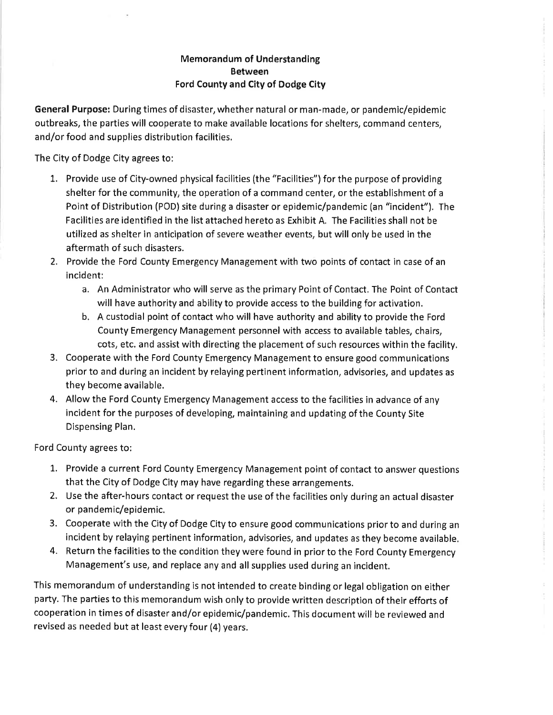## **Memorandum of Understanding Between** Ford County and City of Dodge City

General Purpose: During times of disaster, whether natural or man-made, or pandemic/epidemic outbreaks, the parties will cooperate to make available locations for shelters, command centers, and/or food and supplies distribution facilities.

The City of Dodge City agrees to:

- 1. Provide use of City-owned physical facilities (the "Facilities") for the purpose of providing shelter for the community, the operation of a command center, or the establishment of a Point of Distribution (POD) site during a disaster or epidemic/pandemic (an "incident"). The Facilities are identified in the list attached hereto as Exhibit A. The Facilities shall not be utilized as shelter in anticipation of severe weather events, but will only be used in the aftermath of such disasters.
- 2. Provide the Ford County Emergency Management with two points of contact in case of an incident:
	- a. An Administrator who will serve as the primary Point of Contact. The Point of Contact will have authority and ability to provide access to the building for activation.
	- b. A custodial point of contact who will have authority and ability to provide the Ford County Emergency Management personnel with access to available tables, chairs, cots, etc. and assist with directing the placement of such resources within the facility.
- 3. Cooperate with the Ford County Emergency Management to ensure good communications prior to and during an incident by relaying pertinent information, advisories, and updates as they become available.
- 4. Allow the Ford County Emergency Management access to the facilities in advance of any incident for the purposes of developing, maintaining and updating of the County Site Dispensing Plan.

Ford County agrees to:

- 1. Provide a current Ford County Emergency Management point of contact to answer questions that the City of Dodge City may have regarding these arrangements.
- 2. Use the after-hours contact or request the use of the facilities only during an actual disaster or pandemic/epidemic.
- 3. Cooperate with the City of Dodge City to ensure good communications prior to and during an incident by relaying pertinent information, advisories, and updates as they become available.
- 4. Return the facilities to the condition they were found in prior to the Ford County Emergency Management's use, and replace any and all supplies used during an incident.

This memorandum of understanding is not intended to create binding or legal obligation on either party. The parties to this memorandum wish only to provide written description of their efforts of cooperation in times of disaster and/or epidemic/pandemic. This document will be reviewed and revised as needed but at least every four (4) years.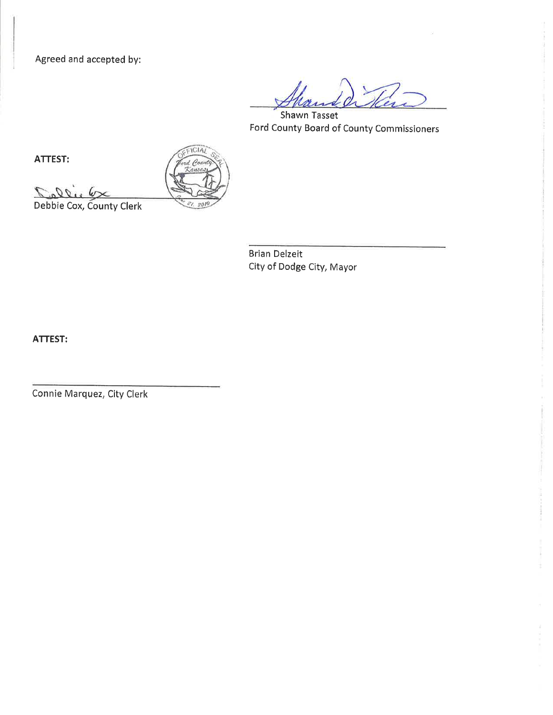Agreed and accepted by:

**Shawn Tasset** Ford County Board of County Commissioners

ATTEST:

 $09.7$ 

ICIAL  $\rho_{ou}$ 

Debbie Cox, County Clerk

**Brian Delzeit** City of Dodge City, Mayor

ATTEST:

Connie Marquez, City Clerk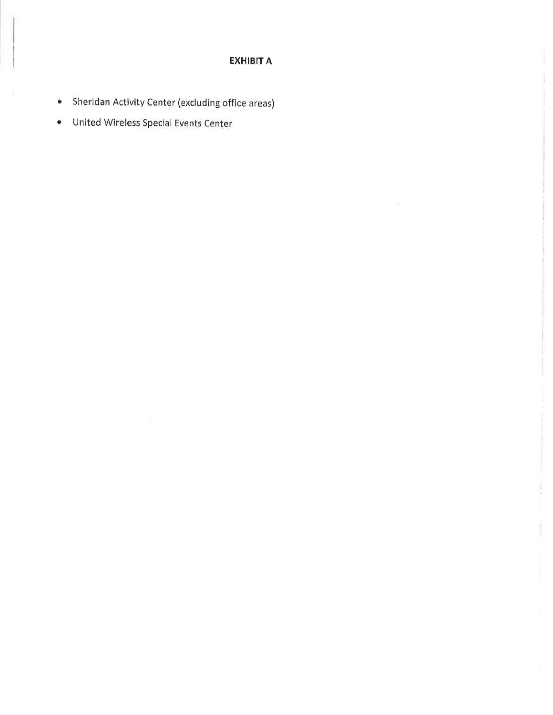# **EXHIBIT A**

 $\tau_{\rm d}$ 

- Sheridan Activity Center (excluding office areas)
- · United Wireless Special Events Center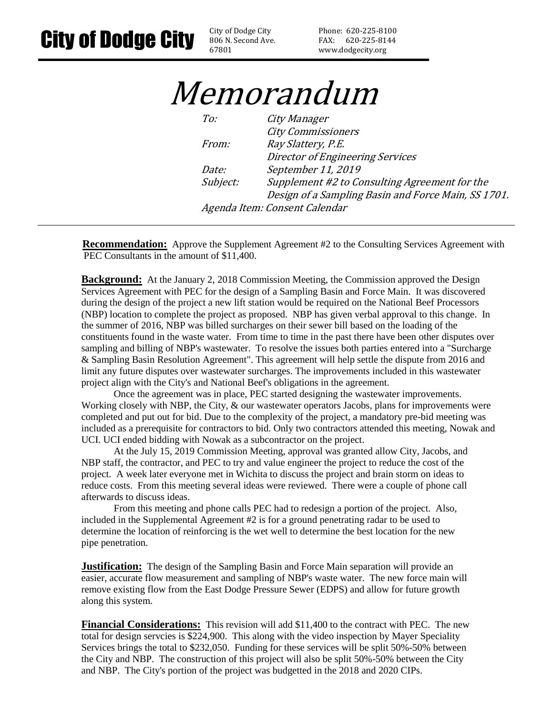806 N. Second Ave. 67801

Phone: 620-225-8100 FAX: 620-225-8144 www.dodgecity.org

# Memorandum

| To:          | City Manager                                        |
|--------------|-----------------------------------------------------|
|              | <b>City Commissioners</b>                           |
| <i>From:</i> | Ray Slattery, P.E.                                  |
|              | Director of Engineering Services                    |
| Date:        | September 11, 2019                                  |
| Subject:     | Supplement #2 to Consulting Agreement for the       |
|              | Design of a Sampling Basin and Force Main, SS 1701. |
|              | Agenda Item: Consent Calendar                       |

**Recommendation:** Approve the Supplement Agreement #2 to the Consulting Services Agreement with PEC Consultants in the amount of \$11,400.

**Background:** At the January 2, 2018 Commission Meeting, the Commission approved the Design Services Agreement with PEC for the design of a Sampling Basin and Force Main. It was discovered during the design of the project a new lift station would be required on the National Beef Processors (NBP) location to complete the project as proposed. NBP has given verbal approval to this change. In the summer of 2016, NBP was billed surcharges on their sewer bill based on the loading of the constituents found in the waste water. From time to time in the past there have been other disputes over sampling and billing of NBP's wastewater. To resolve the issues both parties entered into a "Surcharge & Sampling Basin Resolution Agreement". This agreement will help settle the dispute from 2016 and limit any future disputes over wastewater surcharges. The improvements included in this wastewater project align with the City's and National Beef's obligations in the agreement.

Once the agreement was in place, PEC started designing the wastewater improvements. Working closely with NBP, the City, & our wastewater operators Jacobs, plans for improvements were completed and put out for bid. Due to the complexity of the project, a mandatory pre-bid meeting was included as a prerequisite for contractors to bid. Only two contractors attended this meeting, Nowak and UCI. UCI ended bidding with Nowak as a subcontractor on the project.

At the July 15, 2019 Commission Meeting, approval was granted allow City, Jacobs, and NBP staff, the contractor, and PEC to try and value engineer the project to reduce the cost of the project. A week later everyone met in Wichita to discuss the project and brain storm on ideas to reduce costs. From this meeting several ideas were reviewed. There were a couple of phone call afterwards to discuss ideas.

From this meeting and phone calls PEC had to redesign a portion of the project. Also, included in the Supplemental Agreement #2 is for a ground penetrating radar to be used to determine the location of reinforcing is the wet well to determine the best location for the new pipe penetration.

**Justification:** The design of the Sampling Basin and Force Main separation will provide an easier, accurate flow measurement and sampling of NBP's waste water. The new force main will remove existing flow from the East Dodge Pressure Sewer (EDPS) and allow for future growth along this system.

**Financial Considerations:** This revision will add \$11,400 to the contract with PEC. The new total for design servcies is \$224,900. This along with the video inspection by Mayer Speciality Services brings the total to \$232,050. Funding for these services will be split 50%-50% between the City and NBP. The construction of this project will also be split 50%-50% between the City and NBP. The City's portion of the project was budgetted in the 2018 and 2020 CIPs.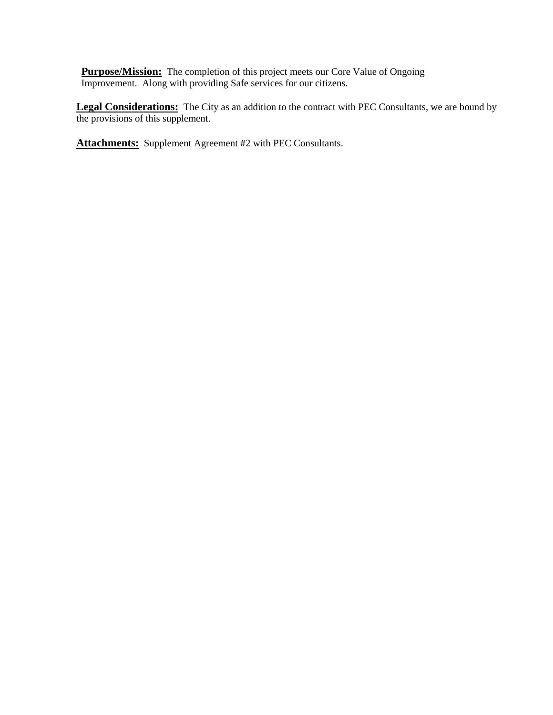**Purpose/Mission:** The completion of this project meets our Core Value of Ongoing Improvement. Along with providing Safe services for our citizens.

**Legal Considerations:** The City as an addition to the contract with PEC Consultants, we are bound by the provisions of this supplement.

**Attachments:** Supplement Agreement #2 with PEC Consultants.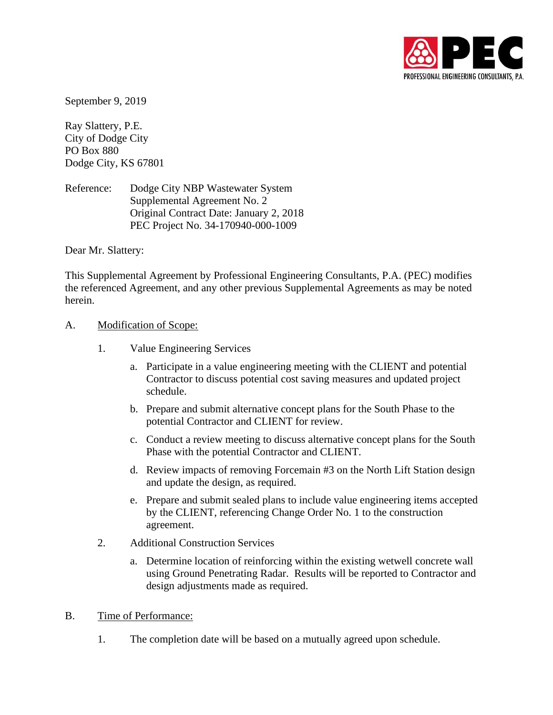

September 9, 2019

Ray Slattery, P.E. City of Dodge City PO Box 880 Dodge City, KS 67801

Reference: Dodge City NBP Wastewater System Supplemental Agreement No. 2 Original Contract Date: January 2, 2018 PEC Project No. 34-170940-000-1009

Dear Mr. Slattery:

This Supplemental Agreement by Professional Engineering Consultants, P.A. (PEC) modifies the referenced Agreement, and any other previous Supplemental Agreements as may be noted herein.

#### A. Modification of Scope:

- 1. Value Engineering Services
	- a. Participate in a value engineering meeting with the CLIENT and potential Contractor to discuss potential cost saving measures and updated project schedule.
	- b. Prepare and submit alternative concept plans for the South Phase to the potential Contractor and CLIENT for review.
	- c. Conduct a review meeting to discuss alternative concept plans for the South Phase with the potential Contractor and CLIENT.
	- d. Review impacts of removing Forcemain #3 on the North Lift Station design and update the design, as required.
	- e. Prepare and submit sealed plans to include value engineering items accepted by the CLIENT, referencing Change Order No. 1 to the construction agreement.
- 2. Additional Construction Services
	- a. Determine location of reinforcing within the existing wetwell concrete wall using Ground Penetrating Radar. Results will be reported to Contractor and design adjustments made as required.
- B. Time of Performance:
	- 1. The completion date will be based on a mutually agreed upon schedule.